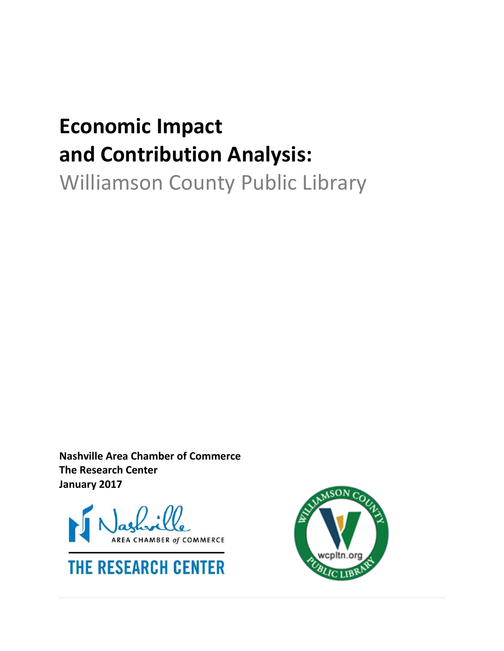# **Economic Impact and Contribution Analysis:**

Williamson County Public Library

**Nashville Area Chamber of Commerce The Research Center January 2017**





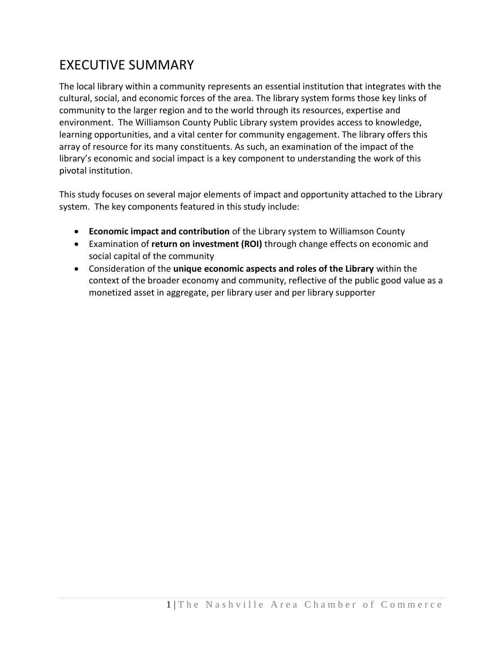### EXECUTIVE SUMMARY

The local library within a community represents an essential institution that integrates with the cultural, social, and economic forces of the area. The library system forms those key links of community to the larger region and to the world through its resources, expertise and environment. The Williamson County Public Library system provides access to knowledge, learning opportunities, and a vital center for community engagement. The library offers this array of resource for its many constituents. As such, an examination of the impact of the library's economic and social impact is a key component to understanding the work of this pivotal institution.

This study focuses on several major elements of impact and opportunity attached to the Library system. The key components featured in this study include:

- **Economic impact and contribution** of the Library system to Williamson County
- Examination of **return on investment (ROI)** through change effects on economic and social capital of the community
- Consideration of the **unique economic aspects and roles of the Library** within the context of the broader economy and community, reflective of the public good value as a monetized asset in aggregate, per library user and per library supporter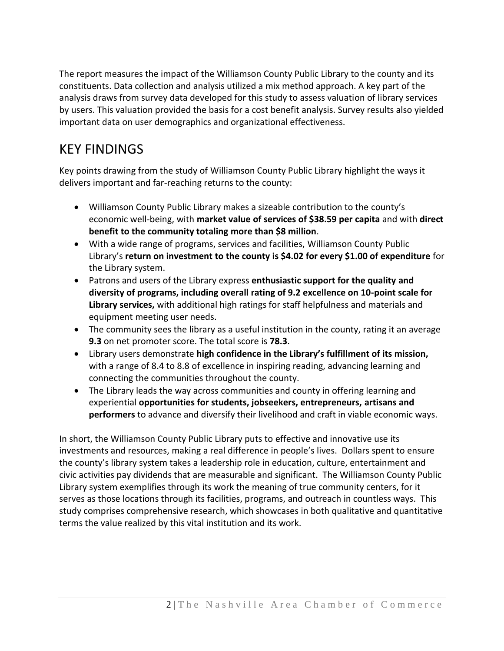The report measures the impact of the Williamson County Public Library to the county and its constituents. Data collection and analysis utilized a mix method approach. A key part of the analysis draws from survey data developed for this study to assess valuation of library services by users. This valuation provided the basis for a cost benefit analysis. Survey results also yielded important data on user demographics and organizational effectiveness.

### KEY FINDINGS

Key points drawing from the study of Williamson County Public Library highlight the ways it delivers important and far-reaching returns to the county:

- Williamson County Public Library makes a sizeable contribution to the county's economic well-being, with **market value of services of \$38.59 per capita** and with **direct benefit to the community totaling more than \$8 million**.
- With a wide range of programs, services and facilities, Williamson County Public Library's **return on investment to the county is \$4.02 for every \$1.00 of expenditure** for the Library system.
- Patrons and users of the Library express **enthusiastic support for the quality and diversity of programs, including overall rating of 9.2 excellence on 10-point scale for Library services,** with additional high ratings for staff helpfulness and materials and equipment meeting user needs.
- The community sees the library as a useful institution in the county, rating it an average **9.3** on net promoter score. The total score is **78.3**.
- Library users demonstrate **high confidence in the Library's fulfillment of its mission,**  with a range of 8.4 to 8.8 of excellence in inspiring reading, advancing learning and connecting the communities throughout the county.
- The Library leads the way across communities and county in offering learning and experiential **opportunities for students, jobseekers, entrepreneurs, artisans and performers** to advance and diversify their livelihood and craft in viable economic ways.

In short, the Williamson County Public Library puts to effective and innovative use its investments and resources, making a real difference in people's lives. Dollars spent to ensure the county's library system takes a leadership role in education, culture, entertainment and civic activities pay dividends that are measurable and significant. The Williamson County Public Library system exemplifies through its work the meaning of true community centers, for it serves as those locations through its facilities, programs, and outreach in countless ways. This study comprises comprehensive research, which showcases in both qualitative and quantitative terms the value realized by this vital institution and its work.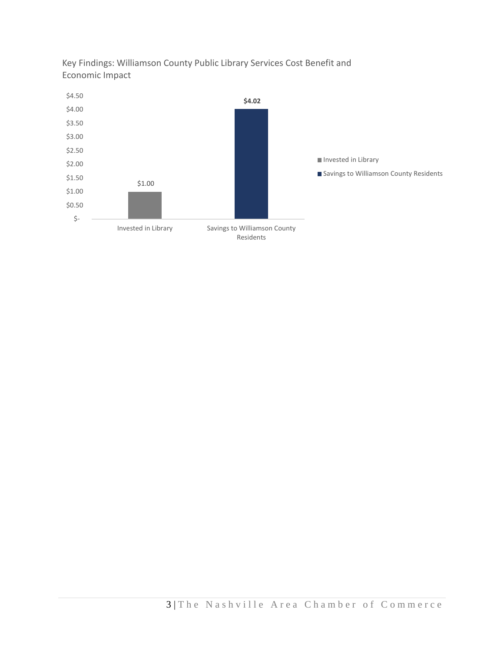

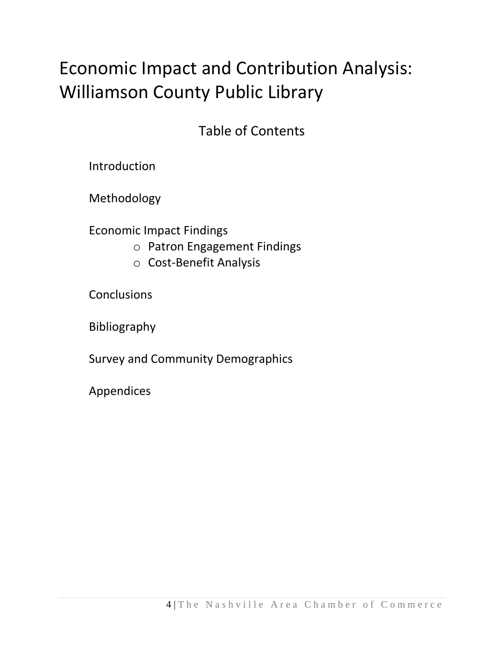## Economic Impact and Contribution Analysis: Williamson County Public Library

Table of Contents

Introduction

Methodology

Economic Impact Findings

- o Patron Engagement Findings
- o Cost-Benefit Analysis

**Conclusions** 

Bibliography

Survey and Community Demographics

Appendices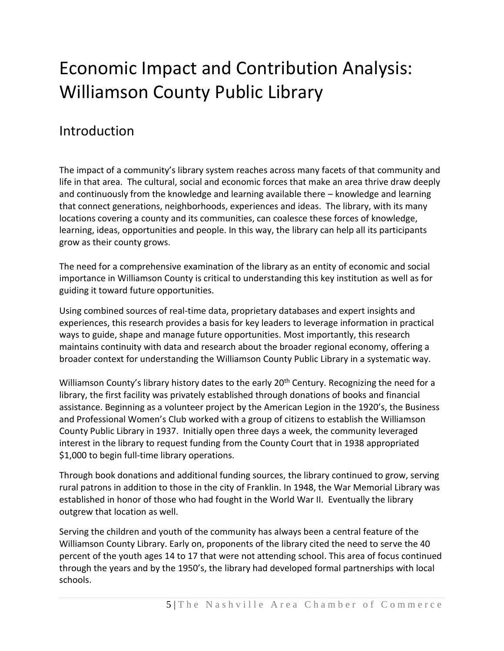## Economic Impact and Contribution Analysis: Williamson County Public Library

#### Introduction

The impact of a community's library system reaches across many facets of that community and life in that area. The cultural, social and economic forces that make an area thrive draw deeply and continuously from the knowledge and learning available there – knowledge and learning that connect generations, neighborhoods, experiences and ideas. The library, with its many locations covering a county and its communities, can coalesce these forces of knowledge, learning, ideas, opportunities and people. In this way, the library can help all its participants grow as their county grows.

The need for a comprehensive examination of the library as an entity of economic and social importance in Williamson County is critical to understanding this key institution as well as for guiding it toward future opportunities.

Using combined sources of real-time data, proprietary databases and expert insights and experiences, this research provides a basis for key leaders to leverage information in practical ways to guide, shape and manage future opportunities. Most importantly, this research maintains continuity with data and research about the broader regional economy, offering a broader context for understanding the Williamson County Public Library in a systematic way.

Williamson County's library history dates to the early 20<sup>th</sup> Century. Recognizing the need for a library, the first facility was privately established through donations of books and financial assistance. Beginning as a volunteer project by the American Legion in the 1920's, the Business and Professional Women's Club worked with a group of citizens to establish the Williamson County Public Library in 1937. Initially open three days a week, the community leveraged interest in the library to request funding from the County Court that in 1938 appropriated \$1,000 to begin full-time library operations.

Through book donations and additional funding sources, the library continued to grow, serving rural patrons in addition to those in the city of Franklin. In 1948, the War Memorial Library was established in honor of those who had fought in the World War II. Eventually the library outgrew that location as well.

Serving the children and youth of the community has always been a central feature of the Williamson County Library. Early on, proponents of the library cited the need to serve the 40 percent of the youth ages 14 to 17 that were not attending school. This area of focus continued through the years and by the 1950's, the library had developed formal partnerships with local schools.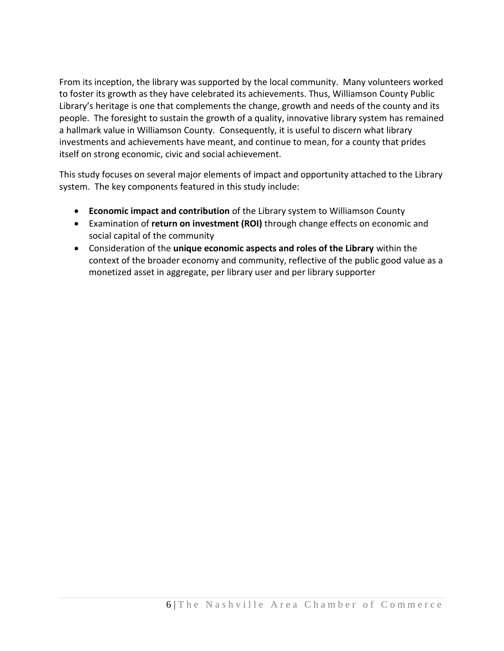From its inception, the library was supported by the local community. Many volunteers worked to foster its growth as they have celebrated its achievements. Thus, Williamson County Public Library's heritage is one that complements the change, growth and needs of the county and its people. The foresight to sustain the growth of a quality, innovative library system has remained a hallmark value in Williamson County. Consequently, it is useful to discern what library investments and achievements have meant, and continue to mean, for a county that prides itself on strong economic, civic and social achievement.

This study focuses on several major elements of impact and opportunity attached to the Library system. The key components featured in this study include:

- **Economic impact and contribution** of the Library system to Williamson County
- Examination of **return on investment (ROI)** through change effects on economic and social capital of the community
- Consideration of the **unique economic aspects and roles of the Library** within the context of the broader economy and community, reflective of the public good value as a monetized asset in aggregate, per library user and per library supporter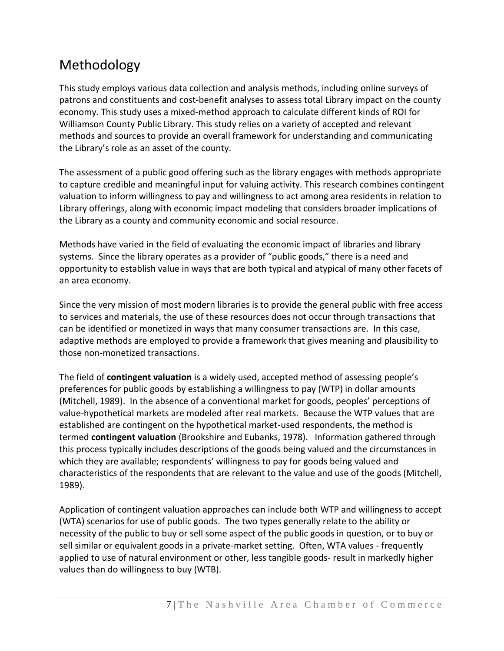### Methodology

This study employs various data collection and analysis methods, including online surveys of patrons and constituents and cost-benefit analyses to assess total Library impact on the county economy. This study uses a mixed-method approach to calculate different kinds of ROI for Williamson County Public Library. This study relies on a variety of accepted and relevant methods and sources to provide an overall framework for understanding and communicating the Library's role as an asset of the county.

The assessment of a public good offering such as the library engages with methods appropriate to capture credible and meaningful input for valuing activity. This research combines contingent valuation to inform willingness to pay and willingness to act among area residents in relation to Library offerings, along with economic impact modeling that considers broader implications of the Library as a county and community economic and social resource.

Methods have varied in the field of evaluating the economic impact of libraries and library systems. Since the library operates as a provider of "public goods," there is a need and opportunity to establish value in ways that are both typical and atypical of many other facets of an area economy.

Since the very mission of most modern libraries is to provide the general public with free access to services and materials, the use of these resources does not occur through transactions that can be identified or monetized in ways that many consumer transactions are. In this case, adaptive methods are employed to provide a framework that gives meaning and plausibility to those non-monetized transactions.

The field of **contingent valuation** is a widely used, accepted method of assessing people's preferences for public goods by establishing a willingness to pay (WTP) in dollar amounts (Mitchell, 1989). In the absence of a conventional market for goods, peoples' perceptions of value-hypothetical markets are modeled after real markets. Because the WTP values that are established are contingent on the hypothetical market-used respondents, the method is termed **contingent valuation** (Brookshire and Eubanks, 1978). Information gathered through this process typically includes descriptions of the goods being valued and the circumstances in which they are available; respondents' willingness to pay for goods being valued and characteristics of the respondents that are relevant to the value and use of the goods (Mitchell, 1989).

Application of contingent valuation approaches can include both WTP and willingness to accept (WTA) scenarios for use of public goods. The two types generally relate to the ability or necessity of the public to buy or sell some aspect of the public goods in question, or to buy or sell similar or equivalent goods in a private-market setting. Often, WTA values - frequently applied to use of natural environment or other, less tangible goods- result in markedly higher values than do willingness to buy (WTB).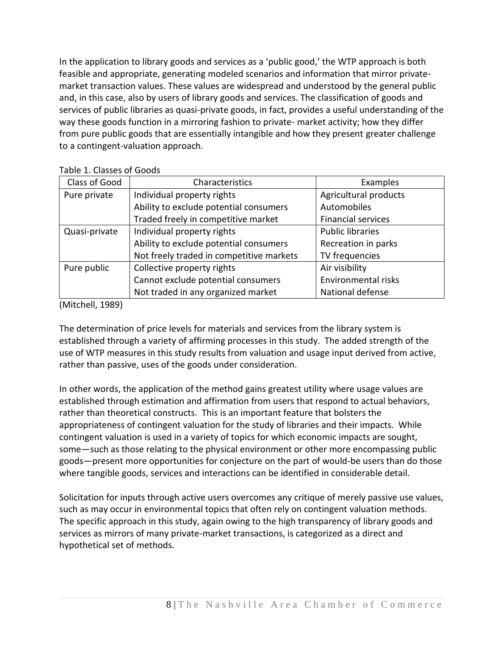In the application to library goods and services as a 'public good,' the WTP approach is both feasible and appropriate, generating modeled scenarios and information that mirror privatemarket transaction values. These values are widespread and understood by the general public and, in this case, also by users of library goods and services. The classification of goods and services of public libraries as quasi-private goods, in fact, provides a useful understanding of the way these goods function in a mirroring fashion to private- market activity; how they differ from pure public goods that are essentially intangible and how they present greater challenge to a contingent-valuation approach.

| Class of Good | Characteristics                          | Examples                  |
|---------------|------------------------------------------|---------------------------|
| Pure private  | Individual property rights               | Agricultural products     |
|               | Ability to exclude potential consumers   | Automobiles               |
|               | Traded freely in competitive market      | <b>Financial services</b> |
| Quasi-private | Individual property rights               | <b>Public libraries</b>   |
|               | Ability to exclude potential consumers   | Recreation in parks       |
|               | Not freely traded in competitive markets | TV frequencies            |
| Pure public   | Collective property rights               | Air visibility            |
|               | Cannot exclude potential consumers       | Environmental risks       |
|               | Not traded in any organized market       | National defense          |

Table 1. Classes of Goods

(Mitchell, 1989)

The determination of price levels for materials and services from the library system is established through a variety of affirming processes in this study. The added strength of the use of WTP measures in this study results from valuation and usage input derived from active, rather than passive, uses of the goods under consideration.

In other words, the application of the method gains greatest utility where usage values are established through estimation and affirmation from users that respond to actual behaviors, rather than theoretical constructs. This is an important feature that bolsters the appropriateness of contingent valuation for the study of libraries and their impacts. While contingent valuation is used in a variety of topics for which economic impacts are sought, some—such as those relating to the physical environment or other more encompassing public goods—present more opportunities for conjecture on the part of would-be users than do those where tangible goods, services and interactions can be identified in considerable detail.

Solicitation for inputs through active users overcomes any critique of merely passive use values, such as may occur in environmental topics that often rely on contingent valuation methods. The specific approach in this study, again owing to the high transparency of library goods and services as mirrors of many private-market transactions, is categorized as a direct and hypothetical set of methods.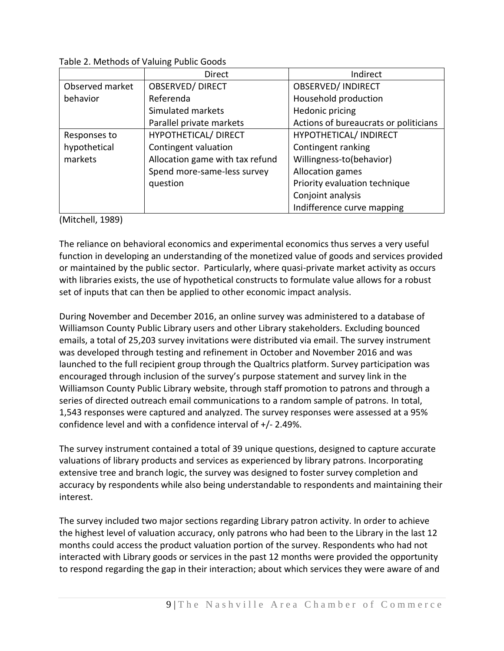|                 | <b>Direct</b>                   | Indirect                              |
|-----------------|---------------------------------|---------------------------------------|
| Observed market | <b>OBSERVED/DIRECT</b>          | <b>OBSERVED/INDIRECT</b>              |
| behavior        | Referenda                       | Household production                  |
|                 | Simulated markets               | Hedonic pricing                       |
|                 | Parallel private markets        | Actions of bureaucrats or politicians |
| Responses to    | HYPOTHETICAL/ DIRECT            | HYPOTHETICAL/ INDIRECT                |
| hypothetical    | Contingent valuation            | Contingent ranking                    |
| markets         | Allocation game with tax refund | Willingness-to(behavior)              |
|                 | Spend more-same-less survey     | Allocation games                      |
|                 | question                        | Priority evaluation technique         |
|                 |                                 | Conjoint analysis                     |
|                 |                                 | Indifference curve mapping            |

Table 2. Methods of Valuing Public Goods

(Mitchell, 1989)

The reliance on behavioral economics and experimental economics thus serves a very useful function in developing an understanding of the monetized value of goods and services provided or maintained by the public sector. Particularly, where quasi-private market activity as occurs with libraries exists, the use of hypothetical constructs to formulate value allows for a robust set of inputs that can then be applied to other economic impact analysis.

During November and December 2016, an online survey was administered to a database of Williamson County Public Library users and other Library stakeholders. Excluding bounced emails, a total of 25,203 survey invitations were distributed via email. The survey instrument was developed through testing and refinement in October and November 2016 and was launched to the full recipient group through the Qualtrics platform. Survey participation was encouraged through inclusion of the survey's purpose statement and survey link in the Williamson County Public Library website, through staff promotion to patrons and through a series of directed outreach email communications to a random sample of patrons. In total, 1,543 responses were captured and analyzed. The survey responses were assessed at a 95% confidence level and with a confidence interval of +/- 2.49%.

The survey instrument contained a total of 39 unique questions, designed to capture accurate valuations of library products and services as experienced by library patrons. Incorporating extensive tree and branch logic, the survey was designed to foster survey completion and accuracy by respondents while also being understandable to respondents and maintaining their interest.

The survey included two major sections regarding Library patron activity. In order to achieve the highest level of valuation accuracy, only patrons who had been to the Library in the last 12 months could access the product valuation portion of the survey. Respondents who had not interacted with Library goods or services in the past 12 months were provided the opportunity to respond regarding the gap in their interaction; about which services they were aware of and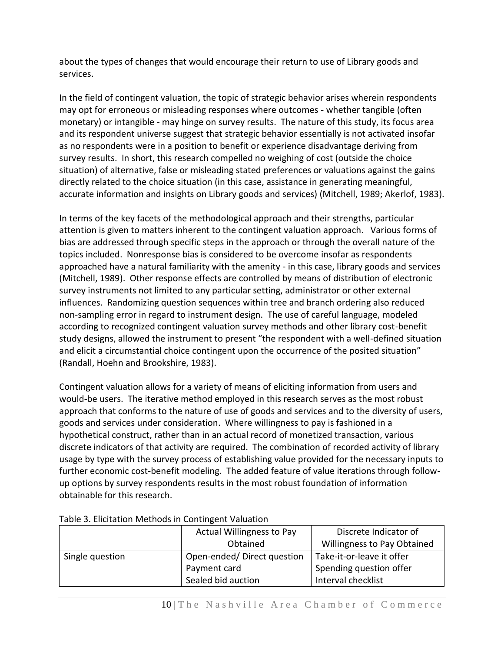about the types of changes that would encourage their return to use of Library goods and services.

In the field of contingent valuation, the topic of strategic behavior arises wherein respondents may opt for erroneous or misleading responses where outcomes - whether tangible (often monetary) or intangible - may hinge on survey results. The nature of this study, its focus area and its respondent universe suggest that strategic behavior essentially is not activated insofar as no respondents were in a position to benefit or experience disadvantage deriving from survey results. In short, this research compelled no weighing of cost (outside the choice situation) of alternative, false or misleading stated preferences or valuations against the gains directly related to the choice situation (in this case, assistance in generating meaningful, accurate information and insights on Library goods and services) (Mitchell, 1989; Akerlof, 1983).

In terms of the key facets of the methodological approach and their strengths, particular attention is given to matters inherent to the contingent valuation approach. Various forms of bias are addressed through specific steps in the approach or through the overall nature of the topics included. Nonresponse bias is considered to be overcome insofar as respondents approached have a natural familiarity with the amenity - in this case, library goods and services (Mitchell, 1989). Other response effects are controlled by means of distribution of electronic survey instruments not limited to any particular setting, administrator or other external influences. Randomizing question sequences within tree and branch ordering also reduced non-sampling error in regard to instrument design. The use of careful language, modeled according to recognized contingent valuation survey methods and other library cost-benefit study designs, allowed the instrument to present "the respondent with a well-defined situation and elicit a circumstantial choice contingent upon the occurrence of the posited situation" (Randall, Hoehn and Brookshire, 1983).

Contingent valuation allows for a variety of means of eliciting information from users and would-be users. The iterative method employed in this research serves as the most robust approach that conforms to the nature of use of goods and services and to the diversity of users, goods and services under consideration. Where willingness to pay is fashioned in a hypothetical construct, rather than in an actual record of monetized transaction, various discrete indicators of that activity are required. The combination of recorded activity of library usage by type with the survey process of establishing value provided for the necessary inputs to further economic cost-benefit modeling. The added feature of value iterations through followup options by survey respondents results in the most robust foundation of information obtainable for this research.

|                 | <b>Actual Willingness to Pay</b>        | Discrete Indicator of     |  |
|-----------------|-----------------------------------------|---------------------------|--|
|                 | Willingness to Pay Obtained<br>Obtained |                           |  |
| Single question | Open-ended/Direct question              | Take-it-or-leave it offer |  |
|                 | Payment card                            | Spending question offer   |  |
|                 | Sealed bid auction                      | Interval checklist        |  |

#### Table 3. Elicitation Methods in Contingent Valuation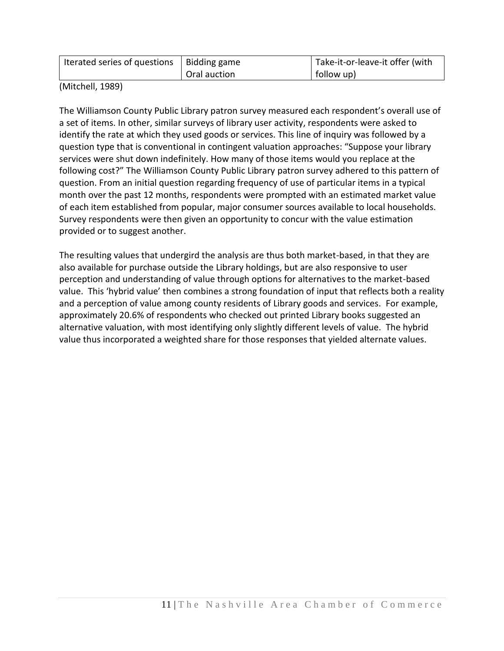| Iterated series of questions   Bidding game |              | Take-it-or-leave-it offer (with |
|---------------------------------------------|--------------|---------------------------------|
|                                             | Oral auction | follow up)                      |

(Mitchell, 1989)

The Williamson County Public Library patron survey measured each respondent's overall use of a set of items. In other, similar surveys of library user activity, respondents were asked to identify the rate at which they used goods or services. This line of inquiry was followed by a question type that is conventional in contingent valuation approaches: "Suppose your library services were shut down indefinitely. How many of those items would you replace at the following cost?" The Williamson County Public Library patron survey adhered to this pattern of question. From an initial question regarding frequency of use of particular items in a typical month over the past 12 months, respondents were prompted with an estimated market value of each item established from popular, major consumer sources available to local households. Survey respondents were then given an opportunity to concur with the value estimation provided or to suggest another.

The resulting values that undergird the analysis are thus both market-based, in that they are also available for purchase outside the Library holdings, but are also responsive to user perception and understanding of value through options for alternatives to the market-based value. This 'hybrid value' then combines a strong foundation of input that reflects both a reality and a perception of value among county residents of Library goods and services. For example, approximately 20.6% of respondents who checked out printed Library books suggested an alternative valuation, with most identifying only slightly different levels of value. The hybrid value thus incorporated a weighted share for those responses that yielded alternate values.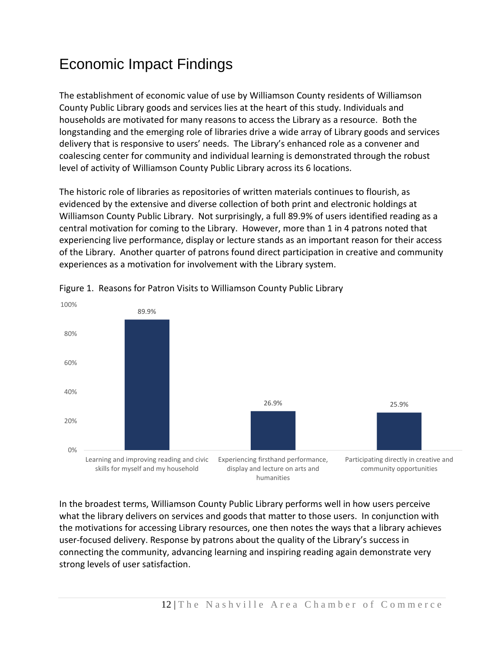### Economic Impact Findings

The establishment of economic value of use by Williamson County residents of Williamson County Public Library goods and services lies at the heart of this study. Individuals and households are motivated for many reasons to access the Library as a resource. Both the longstanding and the emerging role of libraries drive a wide array of Library goods and services delivery that is responsive to users' needs. The Library's enhanced role as a convener and coalescing center for community and individual learning is demonstrated through the robust level of activity of Williamson County Public Library across its 6 locations.

The historic role of libraries as repositories of written materials continues to flourish, as evidenced by the extensive and diverse collection of both print and electronic holdings at Williamson County Public Library. Not surprisingly, a full 89.9% of users identified reading as a central motivation for coming to the Library. However, more than 1 in 4 patrons noted that experiencing live performance, display or lecture stands as an important reason for their access of the Library. Another quarter of patrons found direct participation in creative and community experiences as a motivation for involvement with the Library system.





In the broadest terms, Williamson County Public Library performs well in how users perceive what the library delivers on services and goods that matter to those users. In conjunction with the motivations for accessing Library resources, one then notes the ways that a library achieves user-focused delivery. Response by patrons about the quality of the Library's success in connecting the community, advancing learning and inspiring reading again demonstrate very strong levels of user satisfaction.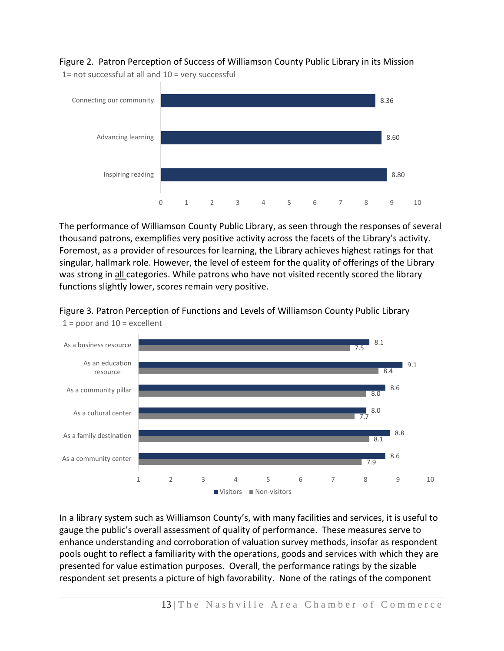Figure 2. Patron Perception of Success of Williamson County Public Library in its Mission

1= not successful at all and 10 = very successful



The performance of Williamson County Public Library, as seen through the responses of several thousand patrons, exemplifies very positive activity across the facets of the Library's activity. Foremost, as a provider of resources for learning, the Library achieves highest ratings for that singular, hallmark role. However, the level of esteem for the quality of offerings of the Library was strong in all categories. While patrons who have not visited recently scored the library functions slightly lower, scores remain very positive.



Figure 3. Patron Perception of Functions and Levels of Williamson County Public Library  $1 =$  poor and  $10 =$  excellent

In a library system such as Williamson County's, with many facilities and services, it is useful to gauge the public's overall assessment of quality of performance. These measures serve to enhance understanding and corroboration of valuation survey methods, insofar as respondent pools ought to reflect a familiarity with the operations, goods and services with which they are presented for value estimation purposes. Overall, the performance ratings by the sizable respondent set presents a picture of high favorability. None of the ratings of the component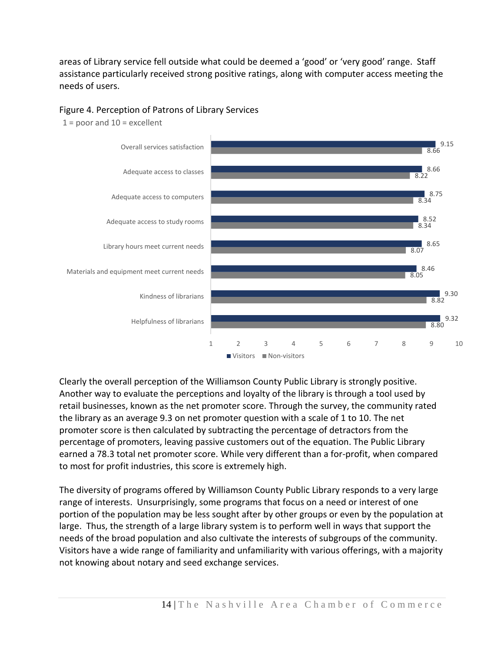areas of Library service fell outside what could be deemed a 'good' or 'very good' range. Staff assistance particularly received strong positive ratings, along with computer access meeting the needs of users.

#### Figure 4. Perception of Patrons of Library Services



 $1 =$  poor and  $10 =$  excellent

Clearly the overall perception of the Williamson County Public Library is strongly positive. Another way to evaluate the perceptions and loyalty of the library is through a tool used by retail businesses, known as the net promoter score. Through the survey, the community rated the library as an average 9.3 on net promoter question with a scale of 1 to 10. The net promoter score is then calculated by subtracting the percentage of detractors from the percentage of promoters, leaving passive customers out of the equation. The Public Library earned a 78.3 total net promoter score. While very different than a for-profit, when compared to most for profit industries, this score is extremely high.

The diversity of programs offered by Williamson County Public Library responds to a very large range of interests. Unsurprisingly, some programs that focus on a need or interest of one portion of the population may be less sought after by other groups or even by the population at large. Thus, the strength of a large library system is to perform well in ways that support the needs of the broad population and also cultivate the interests of subgroups of the community. Visitors have a wide range of familiarity and unfamiliarity with various offerings, with a majority not knowing about notary and seed exchange services.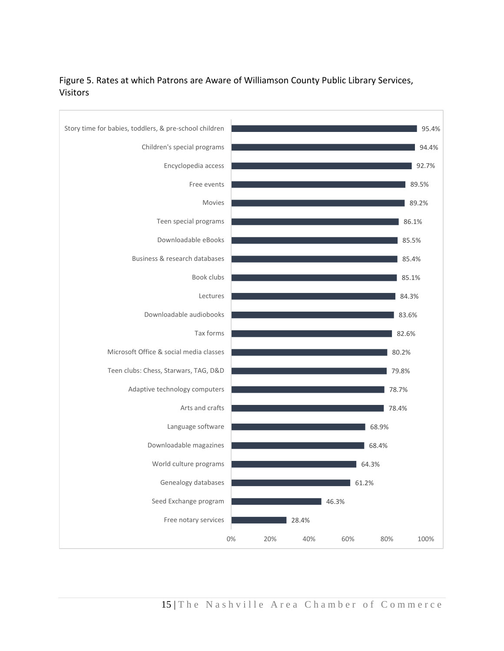

#### Figure 5. Rates at which Patrons are Aware of Williamson County Public Library Services, Visitors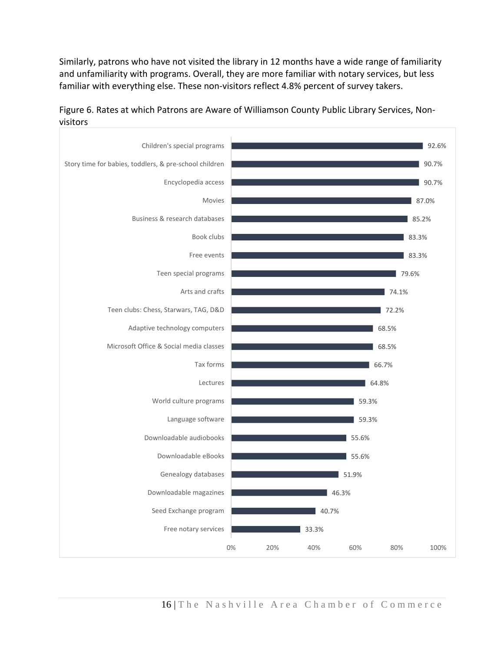Similarly, patrons who have not visited the library in 12 months have a wide range of familiarity and unfamiliarity with programs. Overall, they are more familiar with notary services, but less familiar with everything else. These non-visitors reflect 4.8% percent of survey takers.



Figure 6. Rates at which Patrons are Aware of Williamson County Public Library Services, Nonvisitors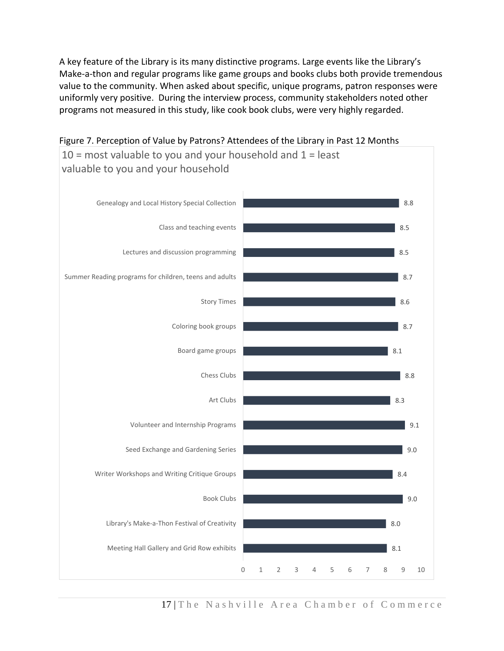A key feature of the Library is its many distinctive programs. Large events like the Library's Make-a-thon and regular programs like game groups and books clubs both provide tremendous value to the community. When asked about specific, unique programs, patron responses were uniformly very positive. During the interview process, community stakeholders noted other programs not measured in this study, like cook book clubs, were very highly regarded.



Figure 7. Perception of Value by Patrons? Attendees of the Library in Past 12 Months

17 The Nashville Area Chamber of Commerce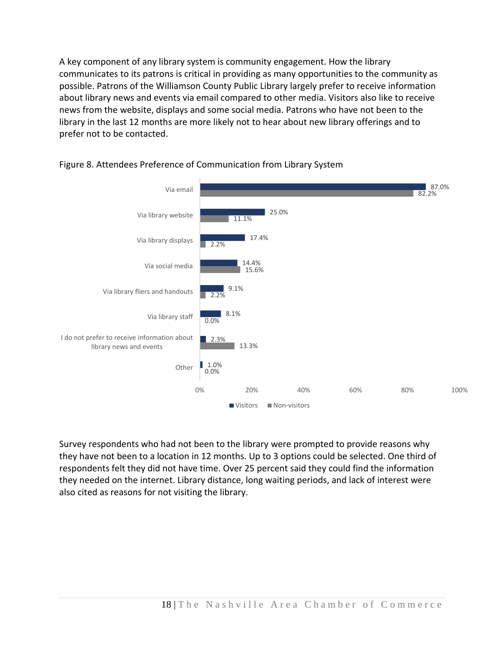A key component of any library system is community engagement. How the library communicates to its patrons is critical in providing as many opportunities to the community as possible. Patrons of the Williamson County Public Library largely prefer to receive information about library news and events via email compared to other media. Visitors also like to receive news from the website, displays and some social media. Patrons who have not been to the library in the last 12 months are more likely not to hear about new library offerings and to prefer not to be contacted.



#### Figure 8. Attendees Preference of Communication from Library System

Survey respondents who had not been to the library were prompted to provide reasons why they have not been to a location in 12 months. Up to 3 options could be selected. One third of respondents felt they did not have time. Over 25 percent said they could find the information they needed on the internet. Library distance, long waiting periods, and lack of interest were also cited as reasons for not visiting the library.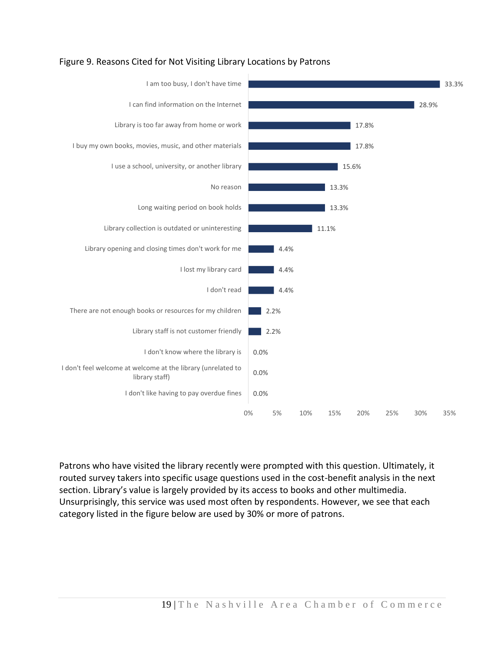

#### Figure 9. Reasons Cited for Not Visiting Library Locations by Patrons

Patrons who have visited the library recently were prompted with this question. Ultimately, it routed survey takers into specific usage questions used in the cost-benefit analysis in the next section. Library's value is largely provided by its access to books and other multimedia. Unsurprisingly, this service was used most often by respondents. However, we see that each category listed in the figure below are used by 30% or more of patrons.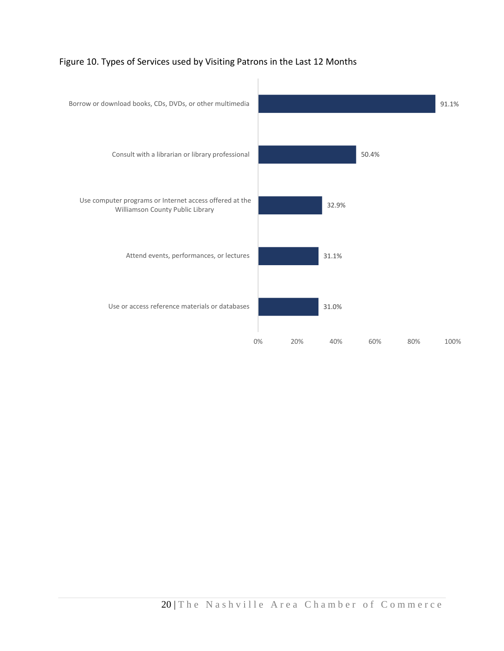

#### Figure 10. Types of Services used by Visiting Patrons in the Last 12 Months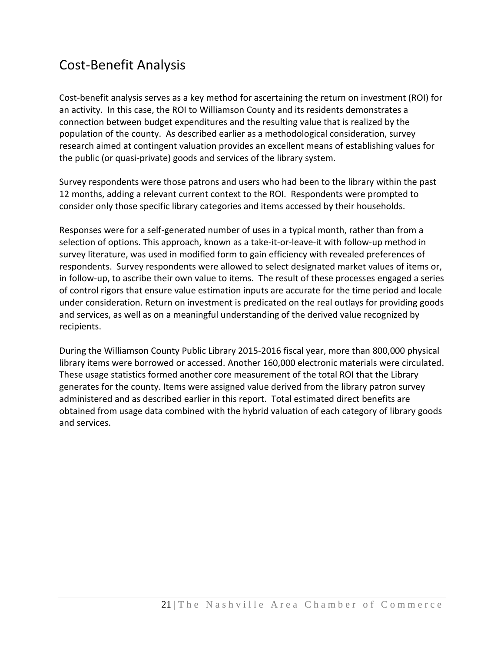#### Cost-Benefit Analysis

Cost-benefit analysis serves as a key method for ascertaining the return on investment (ROI) for an activity. In this case, the ROI to Williamson County and its residents demonstrates a connection between budget expenditures and the resulting value that is realized by the population of the county. As described earlier as a methodological consideration, survey research aimed at contingent valuation provides an excellent means of establishing values for the public (or quasi-private) goods and services of the library system.

Survey respondents were those patrons and users who had been to the library within the past 12 months, adding a relevant current context to the ROI. Respondents were prompted to consider only those specific library categories and items accessed by their households.

Responses were for a self-generated number of uses in a typical month, rather than from a selection of options. This approach, known as a take-it-or-leave-it with follow-up method in survey literature, was used in modified form to gain efficiency with revealed preferences of respondents. Survey respondents were allowed to select designated market values of items or, in follow-up, to ascribe their own value to items. The result of these processes engaged a series of control rigors that ensure value estimation inputs are accurate for the time period and locale under consideration. Return on investment is predicated on the real outlays for providing goods and services, as well as on a meaningful understanding of the derived value recognized by recipients.

During the Williamson County Public Library 2015-2016 fiscal year, more than 800,000 physical library items were borrowed or accessed. Another 160,000 electronic materials were circulated. These usage statistics formed another core measurement of the total ROI that the Library generates for the county. Items were assigned value derived from the library patron survey administered and as described earlier in this report. Total estimated direct benefits are obtained from usage data combined with the hybrid valuation of each category of library goods and services.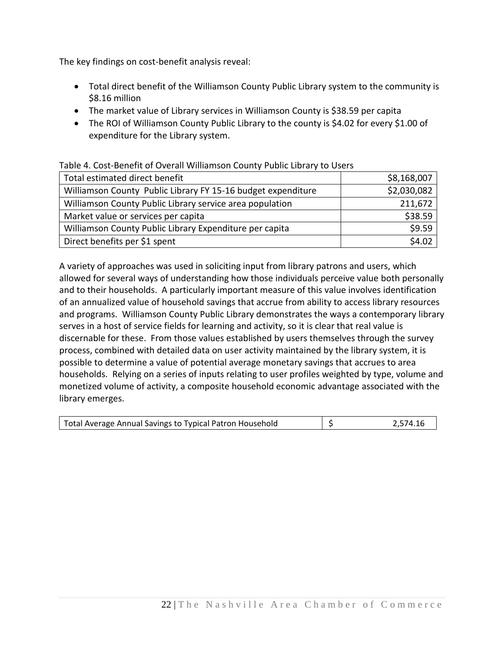The key findings on cost-benefit analysis reveal:

- Total direct benefit of the Williamson County Public Library system to the community is \$8.16 million
- The market value of Library services in Williamson County is \$38.59 per capita
- The ROI of Williamson County Public Library to the county is \$4.02 for every \$1.00 of expenditure for the Library system.

| Table 4. Cost Defient of Overall Williamson County Fabile Library to Oscro |             |  |  |
|----------------------------------------------------------------------------|-------------|--|--|
| Total estimated direct benefit                                             | \$8,168,007 |  |  |
| Williamson County Public Library FY 15-16 budget expenditure               | \$2,030,082 |  |  |
| Williamson County Public Library service area population                   | 211,672     |  |  |
| Market value or services per capita                                        | \$38.59     |  |  |
| Williamson County Public Library Expenditure per capita                    | \$9.59      |  |  |
| Direct benefits per \$1 spent                                              | \$4.02      |  |  |

Table 4. Cost-Benefit of Overall Williamson County Public Library to Users

A variety of approaches was used in soliciting input from library patrons and users, which allowed for several ways of understanding how those individuals perceive value both personally and to their households. A particularly important measure of this value involves identification of an annualized value of household savings that accrue from ability to access library resources and programs. Williamson County Public Library demonstrates the ways a contemporary library serves in a host of service fields for learning and activity, so it is clear that real value is discernable for these. From those values established by users themselves through the survey process, combined with detailed data on user activity maintained by the library system, it is possible to determine a value of potential average monetary savings that accrues to area households. Relying on a series of inputs relating to user profiles weighted by type, volume and monetized volume of activity, a composite household economic advantage associated with the library emerges.

| Total Average Annual Savings to Typical Patron Household |  | 2,574.16 |
|----------------------------------------------------------|--|----------|
|----------------------------------------------------------|--|----------|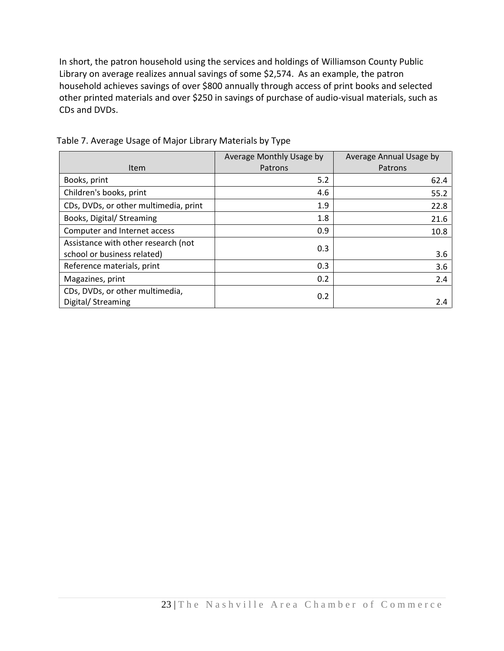In short, the patron household using the services and holdings of Williamson County Public Library on average realizes annual savings of some \$2,574. As an example, the patron household achieves savings of over \$800 annually through access of print books and selected other printed materials and over \$250 in savings of purchase of audio-visual materials, such as CDs and DVDs.

|                                                                    | Average Monthly Usage by | Average Annual Usage by |
|--------------------------------------------------------------------|--------------------------|-------------------------|
| Item                                                               | Patrons                  | Patrons                 |
| Books, print                                                       | 5.2                      | 62.4                    |
| Children's books, print                                            | 4.6                      | 55.2                    |
| CDs, DVDs, or other multimedia, print                              | 1.9                      | 22.8                    |
| Books, Digital/ Streaming                                          | 1.8                      | 21.6                    |
| Computer and Internet access                                       | 0.9                      | 10.8                    |
| Assistance with other research (not<br>school or business related) | 0.3                      | 3.6                     |
| Reference materials, print                                         | 0.3                      | 3.6                     |
| Magazines, print                                                   | 0.2                      | 2.4                     |
| CDs, DVDs, or other multimedia,<br>Digital/ Streaming              | 0.2                      | 2.4                     |

Table 7. Average Usage of Major Library Materials by Type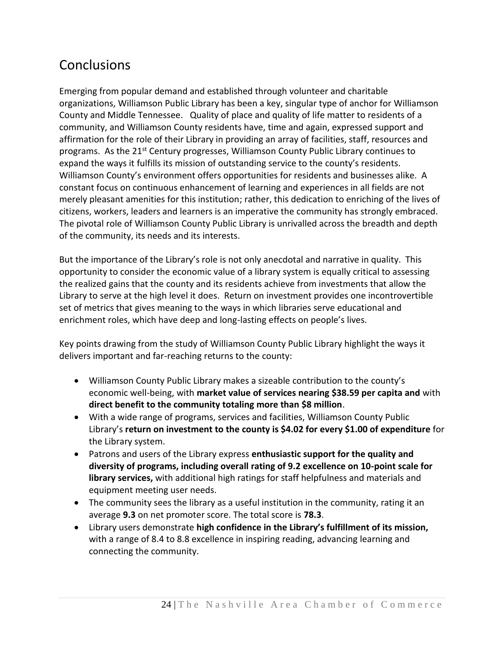### **Conclusions**

Emerging from popular demand and established through volunteer and charitable organizations, Williamson Public Library has been a key, singular type of anchor for Williamson County and Middle Tennessee. Quality of place and quality of life matter to residents of a community, and Williamson County residents have, time and again, expressed support and affirmation for the role of their Library in providing an array of facilities, staff, resources and programs. As the 21st Century progresses, Williamson County Public Library continues to expand the ways it fulfills its mission of outstanding service to the county's residents. Williamson County's environment offers opportunities for residents and businesses alike. A constant focus on continuous enhancement of learning and experiences in all fields are not merely pleasant amenities for this institution; rather, this dedication to enriching of the lives of citizens, workers, leaders and learners is an imperative the community has strongly embraced. The pivotal role of Williamson County Public Library is unrivalled across the breadth and depth of the community, its needs and its interests.

But the importance of the Library's role is not only anecdotal and narrative in quality. This opportunity to consider the economic value of a library system is equally critical to assessing the realized gains that the county and its residents achieve from investments that allow the Library to serve at the high level it does. Return on investment provides one incontrovertible set of metrics that gives meaning to the ways in which libraries serve educational and enrichment roles, which have deep and long-lasting effects on people's lives.

Key points drawing from the study of Williamson County Public Library highlight the ways it delivers important and far-reaching returns to the county:

- Williamson County Public Library makes a sizeable contribution to the county's economic well-being, with **market value of services nearing \$38.59 per capita and** with **direct benefit to the community totaling more than \$8 million**.
- With a wide range of programs, services and facilities, Williamson County Public Library's **return on investment to the county is \$4.02 for every \$1.00 of expenditure** for the Library system.
- Patrons and users of the Library express **enthusiastic support for the quality and diversity of programs, including overall rating of 9.2 excellence on 10-point scale for library services,** with additional high ratings for staff helpfulness and materials and equipment meeting user needs.
- The community sees the library as a useful institution in the community, rating it an average **9.3** on net promoter score. The total score is **78.3**.
- Library users demonstrate **high confidence in the Library's fulfillment of its mission,**  with a range of 8.4 to 8.8 excellence in inspiring reading, advancing learning and connecting the community.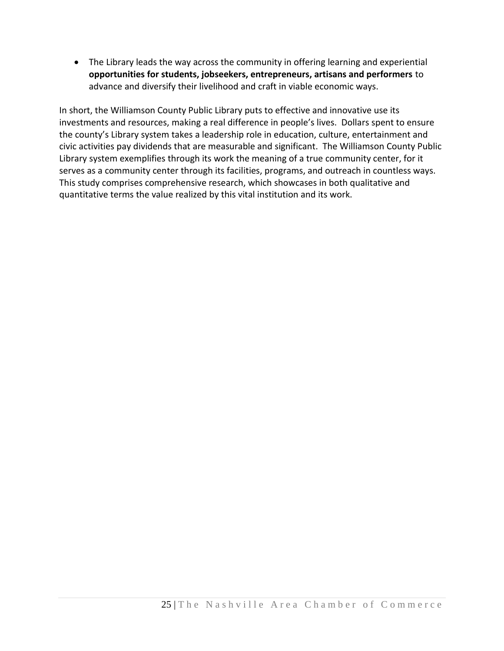The Library leads the way across the community in offering learning and experiential **opportunities for students, jobseekers, entrepreneurs, artisans and performers** to advance and diversify their livelihood and craft in viable economic ways.

In short, the Williamson County Public Library puts to effective and innovative use its investments and resources, making a real difference in people's lives. Dollars spent to ensure the county's Library system takes a leadership role in education, culture, entertainment and civic activities pay dividends that are measurable and significant. The Williamson County Public Library system exemplifies through its work the meaning of a true community center, for it serves as a community center through its facilities, programs, and outreach in countless ways. This study comprises comprehensive research, which showcases in both qualitative and quantitative terms the value realized by this vital institution and its work.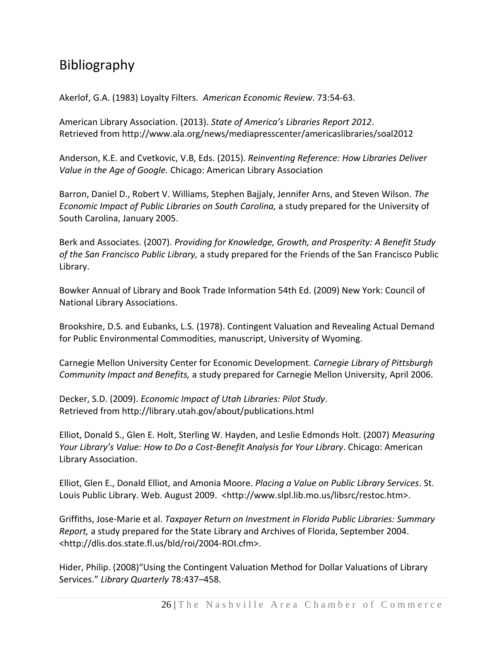### Bibliography

Akerlof, G.A. (1983) Loyalty Filters. *American Economic Review*. 73:54-63.

American Library Association. (2013). *State of America's Libraries Report 2012*. Retrieved from http://www.ala.org/news/mediapresscenter/americaslibraries/soal2012

Anderson, K.E. and Cvetkovic, V.B, Eds. (2015). *Reinventing Reference: How Libraries Deliver Value in the Age of Google.* Chicago: American Library Association

Barron, Daniel D., Robert V. Williams, Stephen Bajjaly, Jennifer Arns, and Steven Wilson. *The Economic Impact of Public Libraries on South Carolina,* a study prepared for the University of South Carolina, January 2005.

Berk and Associates. (2007). *Providing for Knowledge, Growth, and Prosperity: A Benefit Study of the San Francisco Public Library,* a study prepared for the Friends of the San Francisco Public Library.

Bowker Annual of Library and Book Trade Information 54th Ed. (2009) New York: Council of National Library Associations.

Brookshire, D.S. and Eubanks, L.S. (1978). Contingent Valuation and Revealing Actual Demand for Public Environmental Commodities, manuscript, University of Wyoming.

Carnegie Mellon University Center for Economic Development. *Carnegie Library of Pittsburgh Community Impact and Benefits,* a study prepared for Carnegie Mellon University, April 2006.

Decker, S.D. (2009). *Economic Impact of Utah Libraries: Pilot Study*. Retrieved from http://library.utah.gov/about/publications.html

Elliot, Donald S., Glen E. Holt, Sterling W. Hayden, and Leslie Edmonds Holt. (2007) *Measuring Your Library's Value: How to Do a Cost-Benefit Analysis for Your Library*. Chicago: American Library Association.

Elliot, Glen E., Donald Elliot, and Amonia Moore. *Placing a Value on Public Library Services*. St. Louis Public Library. Web. August 2009. <http://www.slpl.lib.mo.us/libsrc/restoc.htm>.

Griffiths, Jose-Marie et al. *Taxpayer Return on Investment in Florida Public Libraries: Summary Report,* a study prepared for the State Library and Archives of Florida, September 2004. <http://dlis.dos.state.fl.us/bld/roi/2004-ROI.cfm>.

Hider, Philip. (2008)"Using the Contingent Valuation Method for Dollar Valuations of Library Services." *Library Quarterly* 78:437–458.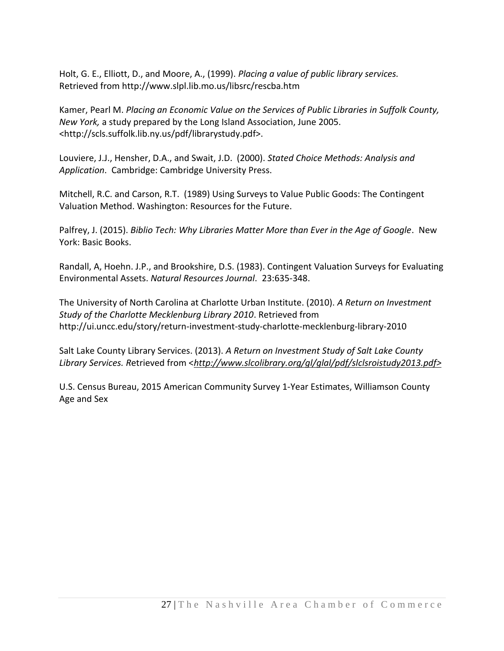Holt, G. E., Elliott, D., and Moore, A., (1999). *Placing a value of public library services.* Retrieved from http://www.slpl.lib.mo.us/libsrc/rescba.htm

Kamer, Pearl M. *Placing an Economic Value on the Services of Public Libraries in Suffolk County, New York,* a study prepared by the Long Island Association, June 2005. <http://scls.suffolk.lib.ny.us/pdf/librarystudy.pdf>.

Louviere, J.J., Hensher, D.A., and Swait, J.D. (2000). *Stated Choice Methods: Analysis and Application*. Cambridge: Cambridge University Press.

Mitchell, R.C. and Carson, R.T. (1989) Using Surveys to Value Public Goods: The Contingent Valuation Method. Washington: Resources for the Future.

Palfrey, J. (2015). *Biblio Tech: Why Libraries Matter More than Ever in the Age of Google*. New York: Basic Books.

Randall, A, Hoehn. J.P., and Brookshire, D.S. (1983). Contingent Valuation Surveys for Evaluating Environmental Assets. *Natural Resources Journal*. 23:635-348.

The University of North Carolina at Charlotte Urban Institute. (2010). *A Return on Investment Study of the Charlotte Mecklenburg Library 2010*. Retrieved from http://ui.uncc.edu/story/return-investment-study-charlotte-mecklenburg-library-2010

Salt Lake County Library Services. (2013). *A Return on Investment Study of Salt Lake County Library Services. R*etrieved from <*[http://www.slcolibrary.org/gl/glal/pdf/slclsroistudy2013.pdf>](http://www.slcolibrary.org/gl/glal/pdf/slclsroistudy2013.pdf)*

U.S. Census Bureau, 2015 American Community Survey 1-Year Estimates, Williamson County Age and Sex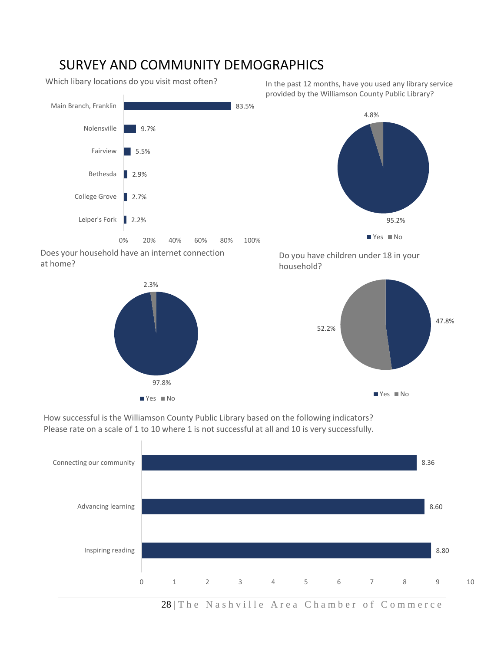#### SURVEY AND COMMUNITY DEMOGRAPHICS

Which libary locations do you visit most often?

Leiper's Fork 2.2% College Grove | 2.7% ■ 2.9% 5.5% 9.7% 83.5% 0% 20% 40% 60% 80% 100% Bethesda Fairview Nolensville Main Branch, Franklin

Does your household have an internet connection at home?



In the past 12 months, have you used any library service provided by the Williamson County Public Library?







How successful is the Williamson County Public Library based on the following indicators? Please rate on a scale of 1 to 10 where 1 is not successful at all and 10 is very successfully.



28 | The Nashville Area Chamber of Commerce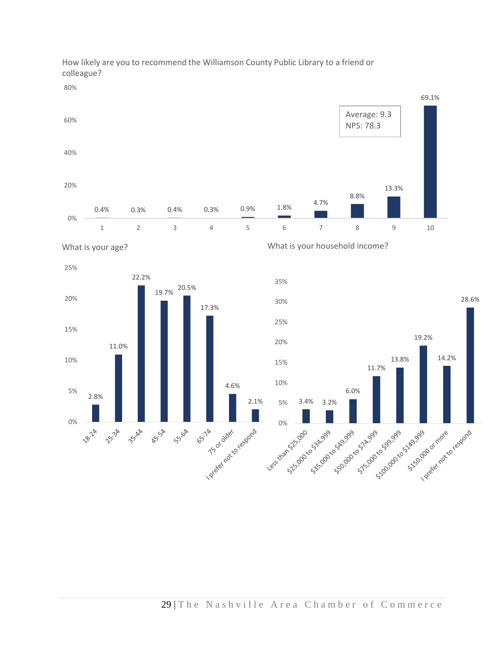

How likely are you to recommend the Williamson County Public Library to a friend or colleague?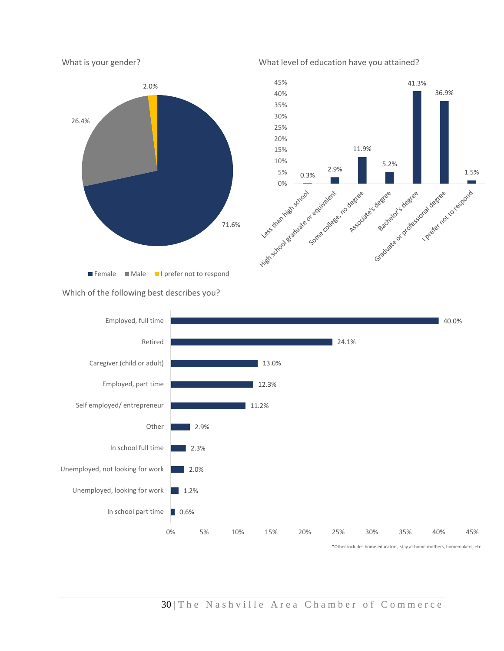



Which of the following best describes you?



#### 30 | The Nashville Area Chamber of Commerce

#### What level of education have you attained?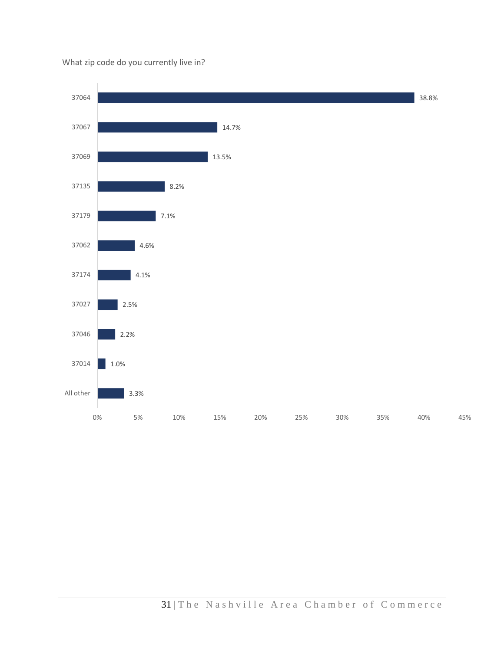#### What zip code do you currently live in?

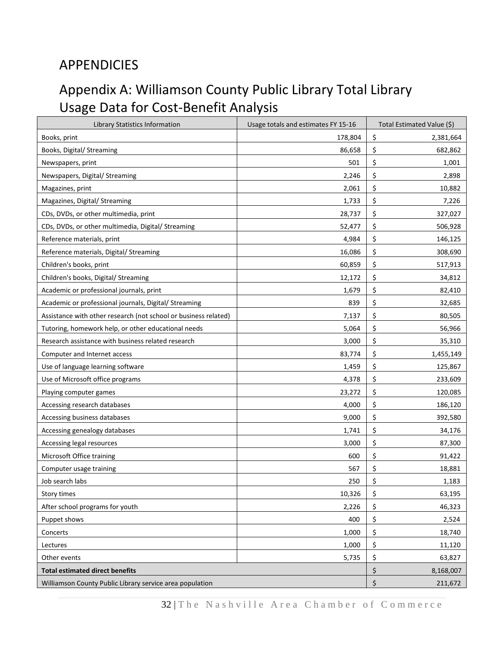### APPENDICIES

### Appendix A: Williamson County Public Library Total Library Usage Data for Cost-Benefit Analysis

| Library Statistics Information                                  | Usage totals and estimates FY 15-16 | Total Estimated Value (\$) |
|-----------------------------------------------------------------|-------------------------------------|----------------------------|
| Books, print                                                    | 178,804                             | \$<br>2,381,664            |
| Books, Digital/ Streaming                                       | 86,658                              | \$<br>682,862              |
| Newspapers, print                                               | 501                                 | \$<br>1,001                |
| Newspapers, Digital/ Streaming                                  | 2,246                               | \$<br>2,898                |
| Magazines, print                                                | 2,061                               | \$<br>10,882               |
| Magazines, Digital/ Streaming                                   | 1,733                               | \$<br>7,226                |
| CDs, DVDs, or other multimedia, print                           | 28,737                              | \$<br>327,027              |
| CDs, DVDs, or other multimedia, Digital/ Streaming              | 52,477                              | \$<br>506,928              |
| Reference materials, print                                      | 4,984                               | \$<br>146,125              |
| Reference materials, Digital/ Streaming                         | 16,086                              | \$<br>308,690              |
| Children's books, print                                         | 60,859                              | \$<br>517,913              |
| Children's books, Digital/ Streaming                            | 12,172                              | \$<br>34,812               |
| Academic or professional journals, print                        | 1,679                               | \$<br>82,410               |
| Academic or professional journals, Digital/ Streaming           | 839                                 | \$<br>32,685               |
| Assistance with other research (not school or business related) | 7,137                               | \$<br>80,505               |
| Tutoring, homework help, or other educational needs             | 5,064                               | \$<br>56,966               |
| Research assistance with business related research              | 3,000                               | \$<br>35,310               |
| Computer and Internet access                                    | 83,774                              | \$<br>1,455,149            |
| Use of language learning software                               | 1,459                               | \$<br>125,867              |
| Use of Microsoft office programs                                | 4,378                               | \$<br>233,609              |
| Playing computer games                                          | 23,272                              | \$<br>120,085              |
| Accessing research databases                                    | 4,000                               | \$<br>186,120              |
| Accessing business databases                                    | 9,000                               | \$<br>392,580              |
| Accessing genealogy databases                                   | 1,741                               | \$<br>34,176               |
| Accessing legal resources                                       | 3,000                               | \$<br>87,300               |
| Microsoft Office training                                       | 600                                 | \$<br>91,422               |
| Computer usage training                                         | 567                                 | \$<br>18,881               |
| Job search labs                                                 | 250                                 | \$<br>1,183                |
| Story times                                                     | 10,326                              | \$<br>63,195               |
| After school programs for youth                                 | 2,226                               | \$<br>46,323               |
| Puppet shows                                                    | 400                                 | \$<br>2,524                |
| Concerts                                                        | 1,000                               | \$<br>18,740               |
| Lectures                                                        | 1,000                               | \$<br>11,120               |
| Other events                                                    | 5,735                               | \$<br>63,827               |
| <b>Total estimated direct benefits</b>                          |                                     | \$<br>8,168,007            |
| Williamson County Public Library service area population        |                                     | \$<br>211,672              |

32 | The Nashville Area Chamber of Commerce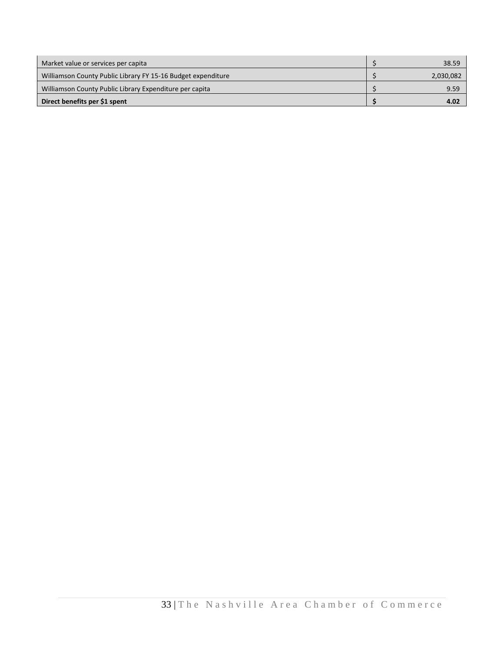| Market value or services per capita                          | 38.59     |
|--------------------------------------------------------------|-----------|
| Williamson County Public Library FY 15-16 Budget expenditure | 2,030,082 |
| Williamson County Public Library Expenditure per capita      | 9.59      |
| Direct benefits per \$1 spent                                | 4.02      |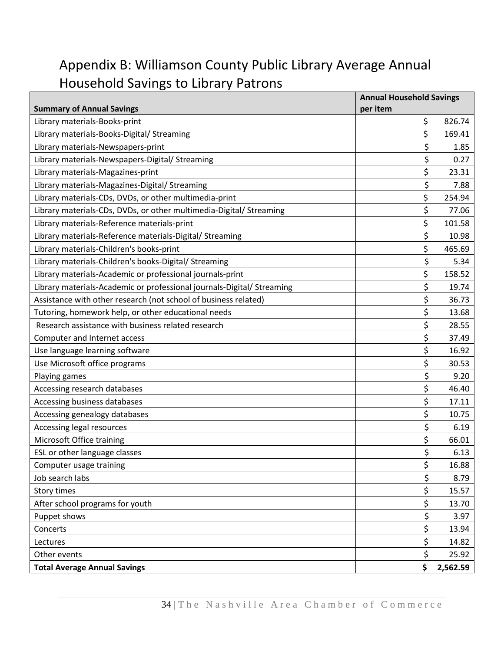### Appendix B: Williamson County Public Library Average Annual Household Savings to Library Patrons

|                                                                        | <b>Annual Household Savings</b> |          |
|------------------------------------------------------------------------|---------------------------------|----------|
| <b>Summary of Annual Savings</b>                                       | per item                        |          |
| Library materials-Books-print                                          | \$                              | 826.74   |
| Library materials-Books-Digital/ Streaming                             | \$                              | 169.41   |
| Library materials-Newspapers-print                                     | \$                              | 1.85     |
| Library materials-Newspapers-Digital/ Streaming                        | \$                              | 0.27     |
| Library materials-Magazines-print                                      | \$                              | 23.31    |
| Library materials-Magazines-Digital/ Streaming                         | \$                              | 7.88     |
| Library materials-CDs, DVDs, or other multimedia-print                 | \$                              | 254.94   |
| Library materials-CDs, DVDs, or other multimedia-Digital/ Streaming    | \$                              | 77.06    |
| Library materials-Reference materials-print                            | \$                              | 101.58   |
| Library materials-Reference materials-Digital/ Streaming               | \$                              | 10.98    |
| Library materials-Children's books-print                               | \$                              | 465.69   |
| Library materials-Children's books-Digital/ Streaming                  | \$                              | 5.34     |
| Library materials-Academic or professional journals-print              | \$                              | 158.52   |
| Library materials-Academic or professional journals-Digital/ Streaming | \$                              | 19.74    |
| Assistance with other research (not school of business related)        | \$                              | 36.73    |
| Tutoring, homework help, or other educational needs                    | \$                              | 13.68    |
| Research assistance with business related research                     | \$                              | 28.55    |
| Computer and Internet access                                           | \$                              | 37.49    |
| Use language learning software                                         | \$                              | 16.92    |
| Use Microsoft office programs                                          | \$                              | 30.53    |
| Playing games                                                          | \$                              | 9.20     |
| Accessing research databases                                           | \$                              | 46.40    |
| Accessing business databases                                           | \$                              | 17.11    |
| Accessing genealogy databases                                          | \$                              | 10.75    |
| <b>Accessing legal resources</b>                                       | \$                              | 6.19     |
| Microsoft Office training                                              | \$                              | 66.01    |
| ESL or other language classes                                          | \$                              | 6.13     |
| Computer usage training                                                | \$                              | 16.88    |
| Job search labs                                                        | \$                              | 8.79     |
| <b>Story times</b>                                                     | \$                              | 15.57    |
| After school programs for youth                                        | \$                              | 13.70    |
| Puppet shows                                                           | \$                              | 3.97     |
| Concerts                                                               | \$                              | 13.94    |
| Lectures                                                               | \$                              | 14.82    |
| Other events                                                           | \$                              | 25.92    |
| <b>Total Average Annual Savings</b>                                    | \$                              | 2,562.59 |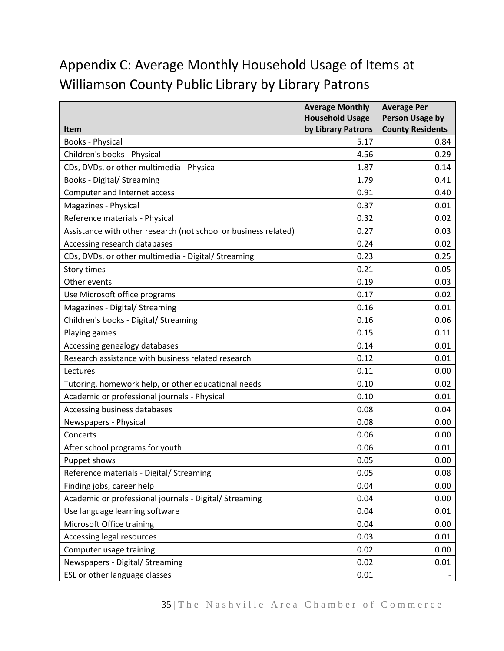### Appendix C: Average Monthly Household Usage of Items at Williamson County Public Library by Library Patrons

|                                                                 | <b>Average Monthly</b> | <b>Average Per</b>      |
|-----------------------------------------------------------------|------------------------|-------------------------|
|                                                                 | <b>Household Usage</b> | <b>Person Usage by</b>  |
| <b>Item</b>                                                     | by Library Patrons     | <b>County Residents</b> |
| Books - Physical                                                | 5.17                   | 0.84                    |
| Children's books - Physical                                     | 4.56                   | 0.29                    |
| CDs, DVDs, or other multimedia - Physical                       | 1.87                   | 0.14                    |
| <b>Books - Digital/ Streaming</b>                               | 1.79                   | 0.41                    |
| Computer and Internet access                                    | 0.91                   | 0.40                    |
| Magazines - Physical                                            | 0.37                   | 0.01                    |
| Reference materials - Physical                                  | 0.32                   | 0.02                    |
| Assistance with other research (not school or business related) | 0.27                   | 0.03                    |
| Accessing research databases                                    | 0.24                   | 0.02                    |
| CDs, DVDs, or other multimedia - Digital/ Streaming             | 0.23                   | 0.25                    |
| <b>Story times</b>                                              | 0.21                   | 0.05                    |
| Other events                                                    | 0.19                   | 0.03                    |
| Use Microsoft office programs                                   | 0.17                   | 0.02                    |
| Magazines - Digital/ Streaming                                  | 0.16                   | 0.01                    |
| Children's books - Digital/ Streaming                           | 0.16                   | 0.06                    |
| Playing games                                                   | 0.15                   | 0.11                    |
| Accessing genealogy databases                                   | 0.14                   | 0.01                    |
| Research assistance with business related research              | 0.12                   | 0.01                    |
| Lectures                                                        | 0.11                   | 0.00                    |
| Tutoring, homework help, or other educational needs             | 0.10                   | 0.02                    |
| Academic or professional journals - Physical                    | 0.10                   | 0.01                    |
| Accessing business databases                                    | 0.08                   | 0.04                    |
| Newspapers - Physical                                           | 0.08                   | 0.00                    |
| Concerts                                                        | 0.06                   | 0.00                    |
| After school programs for youth                                 | 0.06                   | 0.01                    |
| Puppet shows                                                    | 0.05                   | 0.00                    |
| Reference materials - Digital/ Streaming                        | 0.05                   | 0.08                    |
| Finding jobs, career help                                       | 0.04                   | 0.00                    |
| Academic or professional journals - Digital/ Streaming          | 0.04                   | 0.00                    |
| Use language learning software                                  | 0.04                   | 0.01                    |
| Microsoft Office training                                       | 0.04                   | 0.00                    |
| Accessing legal resources                                       | 0.03                   | 0.01                    |
| Computer usage training                                         | 0.02                   | 0.00                    |
| Newspapers - Digital/ Streaming                                 | 0.02                   | 0.01                    |
| ESL or other language classes                                   | 0.01                   |                         |

35 | The Nashville Area Chamber of Commerce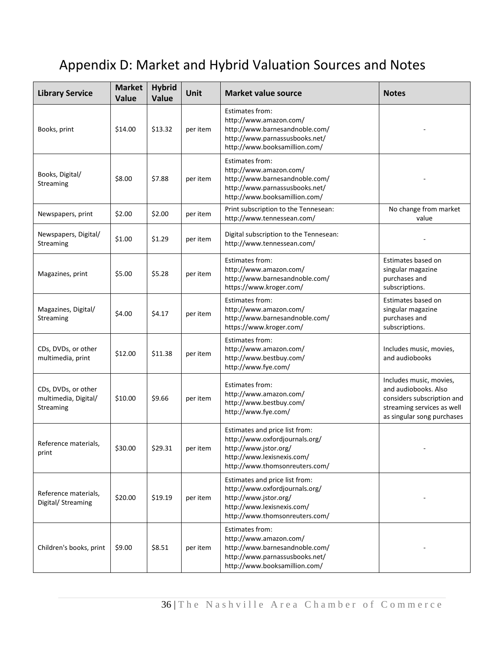### Appendix D: Market and Hybrid Valuation Sources and Notes

| <b>Library Service</b>                                   | <b>Market</b><br>Value | <b>Hybrid</b><br>Value | Unit     | <b>Market value source</b>                                                                                                                                | <b>Notes</b>                                                                                                                              |
|----------------------------------------------------------|------------------------|------------------------|----------|-----------------------------------------------------------------------------------------------------------------------------------------------------------|-------------------------------------------------------------------------------------------------------------------------------------------|
| Books, print                                             | \$14.00                | \$13.32                | per item | Estimates from:<br>http://www.amazon.com/<br>http://www.barnesandnoble.com/<br>http://www.parnassusbooks.net/<br>http://www.booksamillion.com/            |                                                                                                                                           |
| Books, Digital/<br>Streaming                             | \$8.00                 | \$7.88                 | per item | Estimates from:<br>http://www.amazon.com/<br>http://www.barnesandnoble.com/<br>http://www.parnassusbooks.net/<br>http://www.booksamillion.com/            |                                                                                                                                           |
| Newspapers, print                                        | \$2.00                 | \$2.00                 | per item | Print subscription to the Tennesean:<br>http://www.tennessean.com/                                                                                        | No change from market<br>value                                                                                                            |
| Newspapers, Digital/<br>Streaming                        | \$1.00                 | \$1.29                 | per item | Digital subscription to the Tennesean:<br>http://www.tennessean.com/                                                                                      |                                                                                                                                           |
| Magazines, print                                         | \$5.00                 | \$5.28                 | per item | Estimates from:<br>http://www.amazon.com/<br>http://www.barnesandnoble.com/<br>https://www.kroger.com/                                                    | Estimates based on<br>singular magazine<br>purchases and<br>subscriptions.                                                                |
| Magazines, Digital/<br>Streaming                         | \$4.00                 | \$4.17                 | per item | Estimates from:<br>http://www.amazon.com/<br>http://www.barnesandnoble.com/<br>https://www.kroger.com/                                                    | Estimates based on<br>singular magazine<br>purchases and<br>subscriptions.                                                                |
| CDs, DVDs, or other<br>multimedia, print                 | \$12.00                | \$11.38                | per item | Estimates from:<br>http://www.amazon.com/<br>http://www.bestbuy.com/<br>http://www.fye.com/                                                               | Includes music, movies,<br>and audiobooks                                                                                                 |
| CDs, DVDs, or other<br>multimedia, Digital/<br>Streaming | \$10.00                | \$9.66                 | per item | Estimates from:<br>http://www.amazon.com/<br>http://www.bestbuy.com/<br>http://www.fye.com/                                                               | Includes music, movies,<br>and audiobooks. Also<br>considers subscription and<br>streaming services as well<br>as singular song purchases |
| Reference materials.<br>print                            | \$30.00                | \$29.31                | per item | Estimates and price list from:<br>http://www.oxfordjournals.org/<br>http://www.jstor.org/<br>http://www.lexisnexis.com/<br>http://www.thomsonreuters.com/ |                                                                                                                                           |
| Reference materials,<br>Digital/ Streaming               | \$20.00                | \$19.19                | per item | Estimates and price list from:<br>http://www.oxfordjournals.org/<br>http://www.jstor.org/<br>http://www.lexisnexis.com/<br>http://www.thomsonreuters.com/ |                                                                                                                                           |
| Children's books, print                                  | \$9.00                 | \$8.51                 | per item | Estimates from:<br>http://www.amazon.com/<br>http://www.barnesandnoble.com/<br>http://www.parnassusbooks.net/<br>http://www.booksamillion.com/            |                                                                                                                                           |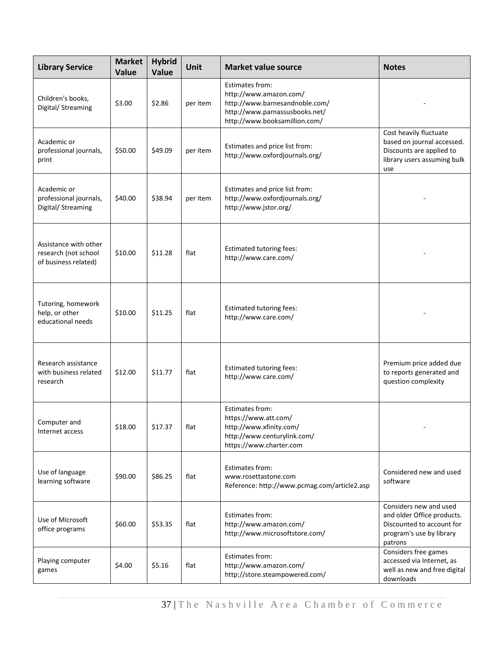| <b>Library Service</b>                                                | <b>Market</b><br>Value | <b>Hybrid</b><br>Value | Unit     | <b>Market value source</b>                                                                                                                     | <b>Notes</b>                                                                                                             |
|-----------------------------------------------------------------------|------------------------|------------------------|----------|------------------------------------------------------------------------------------------------------------------------------------------------|--------------------------------------------------------------------------------------------------------------------------|
| Children's books,<br>Digital/ Streaming                               | \$3.00                 | \$2.86                 | per item | Estimates from:<br>http://www.amazon.com/<br>http://www.barnesandnoble.com/<br>http://www.parnassusbooks.net/<br>http://www.booksamillion.com/ |                                                                                                                          |
| Academic or<br>professional journals,<br>print                        | \$50.00                | \$49.09                | per item | Estimates and price list from:<br>http://www.oxfordjournals.org/                                                                               | Cost heavily fluctuate<br>based on journal accessed.<br>Discounts are applied to<br>library users assuming bulk<br>use   |
| Academic or<br>professional journals,<br>Digital/ Streaming           | \$40.00                | \$38.94                | per item | Estimates and price list from:<br>http://www.oxfordjournals.org/<br>http://www.jstor.org/                                                      |                                                                                                                          |
| Assistance with other<br>research (not school<br>of business related) | \$10.00                | \$11.28                | flat     | <b>Estimated tutoring fees:</b><br>http://www.care.com/                                                                                        |                                                                                                                          |
| Tutoring, homework<br>help, or other<br>educational needs             | \$10.00                | \$11.25                | flat     | <b>Estimated tutoring fees:</b><br>http://www.care.com/                                                                                        |                                                                                                                          |
| Research assistance<br>with business related<br>research              | \$12.00                | \$11.77                | flat     | <b>Estimated tutoring fees:</b><br>http://www.care.com/                                                                                        | Premium price added due<br>to reports generated and<br>question complexity                                               |
| Computer and<br>Internet access                                       | \$18.00                | \$17.37                | flat     | Estimates from:<br>https://www.att.com/<br>http://www.xfinity.com/<br>http://www.centurylink.com/<br>https://www.charter.com                   |                                                                                                                          |
| Use of language<br>learning software                                  | \$90.00                | \$86.25                | flat     | <b>Estimates from:</b><br>www.rosettastone.com<br>Reference: http://www.pcmag.com/article2.asp                                                 | Considered new and used<br>software                                                                                      |
| Use of Microsoft<br>office programs                                   | \$60.00                | \$53.35                | flat     | Estimates from:<br>http://www.amazon.com/<br>http://www.microsoftstore.com/                                                                    | Considers new and used<br>and older Office products.<br>Discounted to account for<br>program's use by library<br>patrons |
| Playing computer<br>games                                             | \$4.00                 | \$5.16                 | flat     | Estimates from:<br>http://www.amazon.com/<br>http://store.steampowered.com/                                                                    | Considers free games<br>accessed via Internet, as<br>well as new and free digital<br>downloads                           |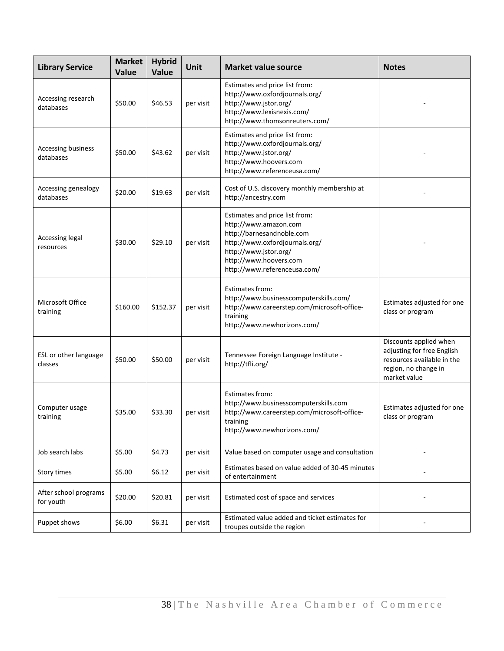| <b>Library Service</b>             | <b>Market</b><br>Value | <b>Hybrid</b><br>Value | Unit      | <b>Market value source</b>                                                                                                                                                                                | <b>Notes</b>                                                                                                               |
|------------------------------------|------------------------|------------------------|-----------|-----------------------------------------------------------------------------------------------------------------------------------------------------------------------------------------------------------|----------------------------------------------------------------------------------------------------------------------------|
| Accessing research<br>databases    | \$50.00                | \$46.53                | per visit | Estimates and price list from:<br>http://www.oxfordjournals.org/<br>http://www.jstor.org/<br>http://www.lexisnexis.com/<br>http://www.thomsonreuters.com/                                                 |                                                                                                                            |
| Accessing business<br>databases    | \$50.00                | \$43.62                | per visit | Estimates and price list from:<br>http://www.oxfordjournals.org/<br>http://www.jstor.org/<br>http://www.hoovers.com<br>http://www.referenceusa.com/                                                       |                                                                                                                            |
| Accessing genealogy<br>databases   | \$20.00                | \$19.63                | per visit | Cost of U.S. discovery monthly membership at<br>http://ancestry.com                                                                                                                                       |                                                                                                                            |
| Accessing legal<br>resources       | \$30.00                | \$29.10                | per visit | Estimates and price list from:<br>http://www.amazon.com<br>http://barnesandnoble.com<br>http://www.oxfordjournals.org/<br>http://www.jstor.org/<br>http://www.hoovers.com<br>http://www.referenceusa.com/ |                                                                                                                            |
| Microsoft Office<br>training       | \$160.00               | \$152.37               | per visit | Estimates from:<br>http://www.businesscomputerskills.com/<br>http://www.careerstep.com/microsoft-office-<br>training<br>http://www.newhorizons.com/                                                       | Estimates adjusted for one<br>class or program                                                                             |
| ESL or other language<br>classes   | \$50.00                | \$50.00                | per visit | Tennessee Foreign Language Institute -<br>http://tfli.org/                                                                                                                                                | Discounts applied when<br>adjusting for free English<br>resources available in the<br>region, no change in<br>market value |
| Computer usage<br>training         | \$35.00                | \$33.30                | per visit | Estimates from:<br>http://www.businesscomputerskills.com<br>http://www.careerstep.com/microsoft-office-<br>training<br>http://www.newhorizons.com/                                                        | Estimates adjusted for one<br>class or program                                                                             |
| Job search labs                    | \$5.00                 | \$4.73                 | per visit | Value based on computer usage and consultation                                                                                                                                                            |                                                                                                                            |
| Story times                        | \$5.00                 | \$6.12                 | per visit | Estimates based on value added of 30-45 minutes<br>of entertainment                                                                                                                                       |                                                                                                                            |
| After school programs<br>for youth | \$20.00                | \$20.81                | per visit | Estimated cost of space and services                                                                                                                                                                      |                                                                                                                            |
| Puppet shows                       | \$6.00                 | \$6.31                 | per visit | Estimated value added and ticket estimates for<br>troupes outside the region                                                                                                                              |                                                                                                                            |